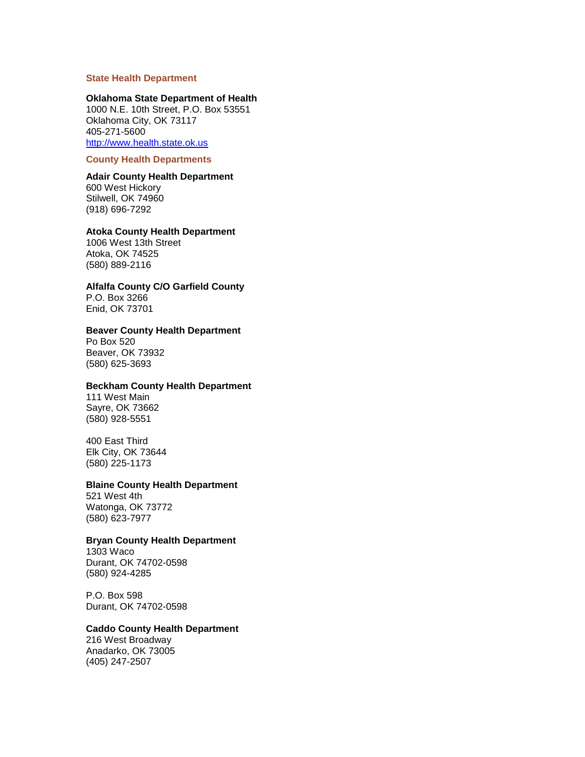### **State Health Department**

#### **Oklahoma State Department of Health**

1000 N.E. 10th Street, P.O. Box 53551 Oklahoma City, OK 73117 405-271-5600 [http://www.health.state.ok.us](http://www.health.state.ok.us/)

#### **County Health Departments**

# **Adair County Health Department**

600 West Hickory Stilwell, OK 74960 (918) 696-7292

#### **Atoka County Health Department**

1006 West 13th Street Atoka, OK 74525 (580) 889-2116

#### **Alfalfa County C/O Garfield County**

P.O. Box 3266 Enid, OK 73701

### **Beaver County Health Department**

Po Box 520 Beaver, OK 73932 (580) 625-3693

#### **Beckham County Health Department**

111 West Main Sayre, OK 73662 (580) 928-5551

#### 400 East Third Elk City, OK 73644 (580) 225-1173

#### **Blaine County Health Department**

521 West 4th Watonga, OK 73772 (580) 623-7977

#### **Bryan County Health Department**

1303 Waco Durant, OK 74702-0598 (580) 924-4285

P.O. Box 598 Durant, OK 74702-0598

### **Caddo County Health Department**

216 West Broadway Anadarko, OK 73005 (405) 247-2507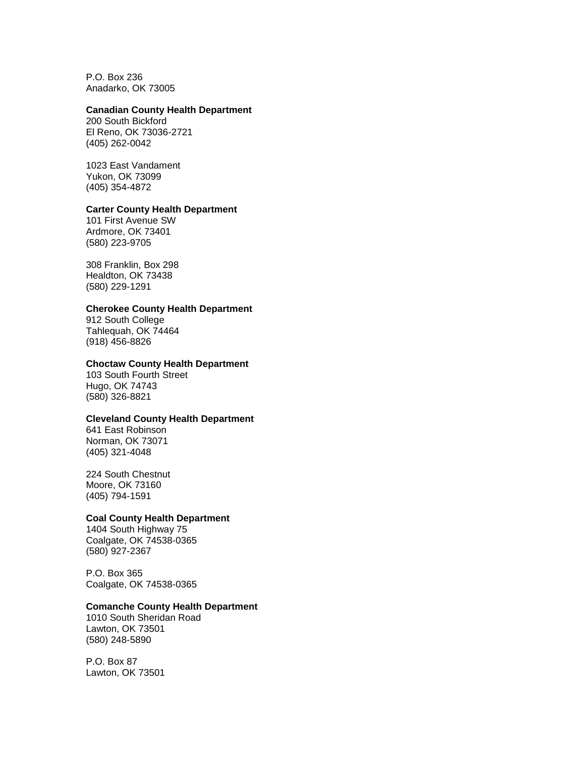P.O. Box 236 Anadarko, OK 73005

### **Canadian County Health Department**

200 South Bickford El Reno, OK 73036-2721 (405) 262-0042

1023 East Vandament Yukon, OK 73099 (405) 354-487[2](http://www.health.state.ok.us/chds/canadian/)

### **Carter County Health Department**

101 First Avenue SW Ardmore, OK 73401 (580) 223-9705

308 Franklin, Box 298 Healdton, OK 73438 (580) 229-1291

### **Cherokee County Health Department**

912 South College Tahlequah, OK 74464 (918) 456-8826

### **Choctaw County Health Department**

103 South Fourth Street Hugo, OK 74743 (580) 326-8821

# **Cleveland County Health Department**

641 East Robinson Norman, OK 73071 (405) 321-4048

224 South Chestnut Moore, OK 73160 (405) 794-1591

### **Coal County Health Department**

1404 South Highway 75 Coalgate, OK 74538-0365 (580) 927-2367

P.O. Box 365 Coalgate, OK 74538-0365

#### **Comanche County Health Department**

1010 South Sheridan Road Lawton, OK 73501 (580) 248-5890

P.O. Box 87 Lawton, OK 73501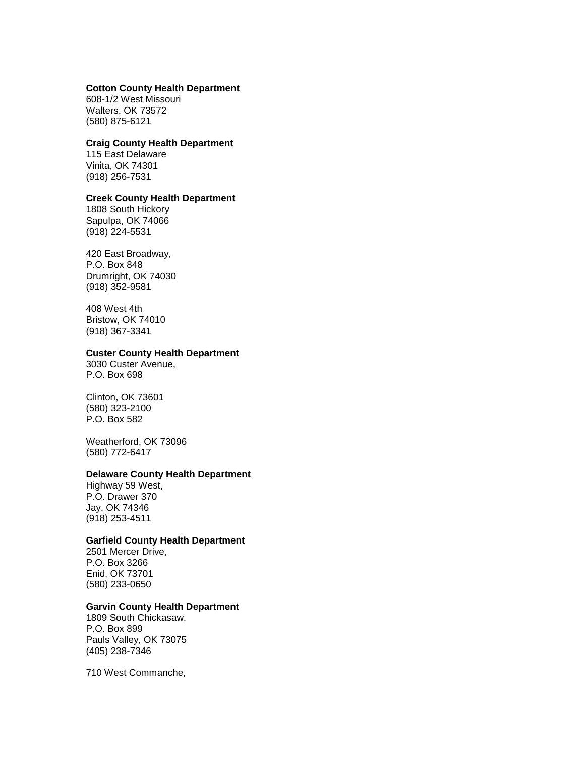#### **Cotton County Health Department**

608-1/2 West Missouri Walters, OK 73572 (580) 875-6121

### **Craig County Health Department**

115 East Delaware Vinita, OK 74301 (918) 256-7531

#### **Creek County Health Department**

1808 South Hickory Sapulpa, OK 74066 (918) 224-5531

### 420 East Broadway, P.O. Box 848 Drumright, OK 74030

(918) 352-9581

408 West 4th Bristow, OK 74010 (918) 367-3341

#### **Custer County Health Department**

3030 Custer Avenue, P.O. Box 698

Clinton, OK 73601 (580) 323-2100 P.O. Box 582

Weatherford, OK 73096 (580) 772-6417

### **Delaware County Health Department**

Highway 59 West, P.O. Drawer 370 Jay, OK 74346 (918) 253-4511

### **Garfield County Health Department**

2501 Mercer Drive, P.O. Box 3266 Enid, OK 73701 (580) 233-0650

#### **Garvin County Health Department**

1809 South Chickasaw, P.O. Box 899 Pauls Valley, OK 73075 (405) 238-7346

710 West Commanche,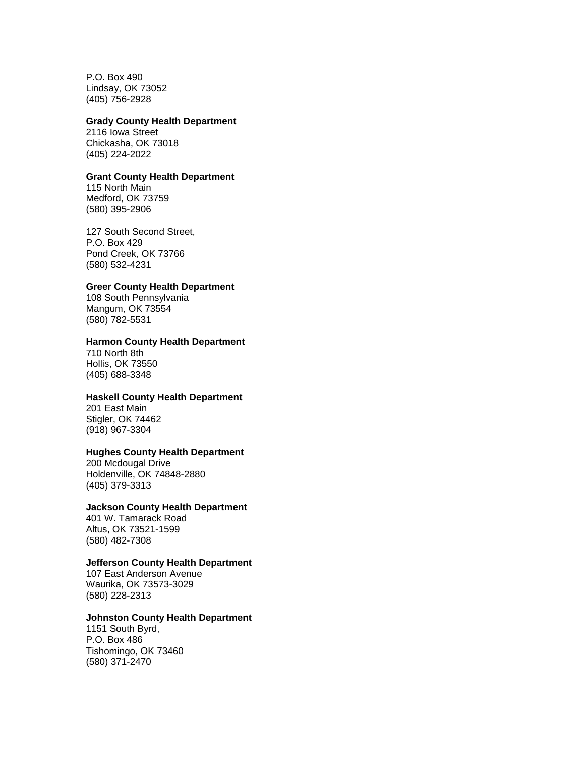P.O. Box 490 Lindsay, OK 73052 (405) 756-2928

#### **Grady County Health Department**

2116 Iowa Street Chickasha, OK 73018 (405) 224-2022

# **Grant County Health Department**

115 North Main Medford, OK 73759 (580) 395-2906

127 South Second Street, P.O. Box 429 Pond Creek, OK 73766 (580) 532-4231

### **Greer County Health Department**

108 South Pennsylvania Mangum, OK 73554 (580) 782-5531

# **Harmon County Health Department**

710 North 8th Hollis, OK 73550 (405) 688-3348

# **Haskell County Health Department**

201 East Main Stigler, OK 74462 (918) 967-3304

### **Hughes County Health Department**

200 Mcdougal Drive Holdenville, OK 74848-2880 (405) 379-3313

#### **Jackson County Health Department**

401 W. Tamarack Road Altus, OK 73521-1599 (580) 482-7308

### **Jefferson County Health Department**

107 East Anderson Avenue Waurika, OK 73573-3029 (580) 228-2313

### **Johnston County Health Department**

1151 South Byrd, P.O. Box 486 Tishomingo, OK 73460 (580) 371-2470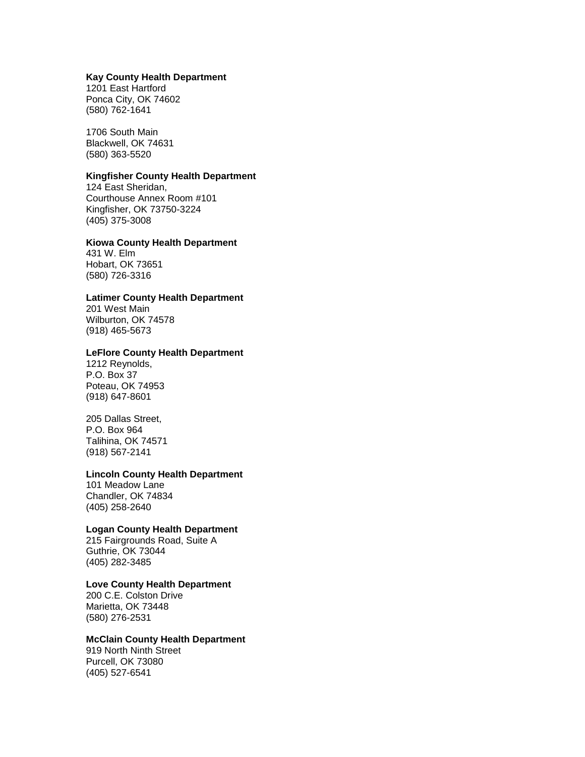#### **Kay County Health Department**

1201 East Hartford Ponca City, OK 74602 (580) 762-1641

1706 South Main Blackwell, OK 74631 (580) 363-552[0](http://www.health.state.ok.us/chds/kay/index.html)

### **Kingfisher County Health Department**

124 East Sheridan, Courthouse Annex Room #101 Kingfisher, OK 73750-3224 (405) 375-3008

# **Kiowa County Health Department**

431 W. Elm Hobart, OK 73651 (580) 726-3316

# **Latimer County Health Department**

201 West Main Wilburton, OK 74578 (918) 465-5673

#### **LeFlore County Health Department**

1212 Reynolds, P.O. Box 37 Poteau, OK 74953 (918) 647-8601

205 Dallas Street, P.O. Box 964 Talihina, OK 74571 (918) 567-2141

### **Lincoln County Health Department**

101 Meadow Lane Chandler, OK 74834 (405) 258-2640

# **Logan County Health Department**

215 Fairgrounds Road, Suite A Guthrie, OK 73044 (405) 282-3485

# **Love County Health Department**

200 C.E. Colston Drive Marietta, OK 73448 (580) 276-2531

#### **McClain County Health Department**

919 North Ninth Street Purcell, OK 73080 (405) 527-6541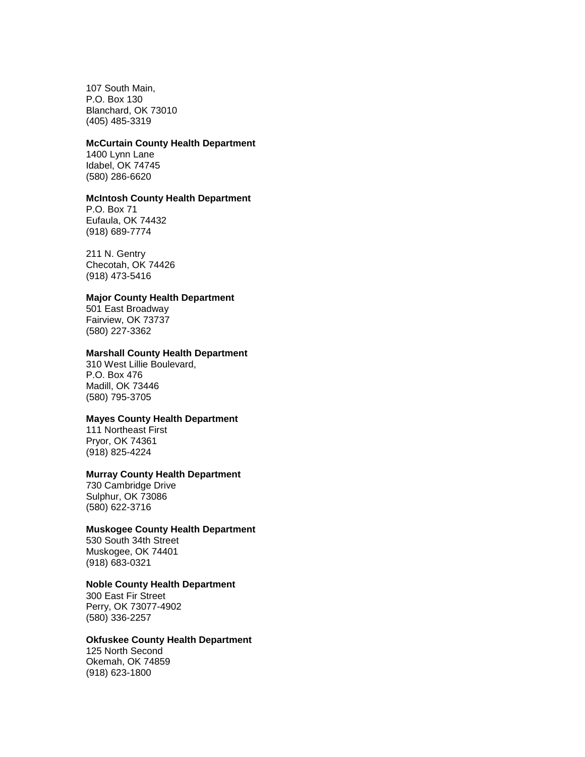107 South Main, P.O. Box 130 Blanchard, OK 73010 (405) 485-3319

#### **McCurtain County Health Department**

1400 Lynn Lane Idabel, OK 74745 (580) 286-6620

#### **McIntosh County Health Department**

P.O. Box 71 Eufaula, OK 74432 (918) 689-7774

211 N. Gentry Checotah, OK 74426 (918) 473-5416

#### **Major County Health Department**

501 East Broadway Fairview, OK 73737 (580) 227-3362

#### **Marshall County Health Department**

310 West Lillie Boulevard, P.O. Box 476 Madill, OK 73446 (580) 795-3705

# **Mayes County Health Department**

111 Northeast First Pryor, OK 74361 (918) 825-4224

# **Murray County Health Department**

730 Cambridge Drive Sulphur, OK 73086 (580) 622-3716

### **Muskogee County Health Department**

530 South 34th Street Muskogee, OK 74401 (918) 683-0321

# **Noble County Health Department**

300 East Fir Street Perry, OK 73077-4902 (580) 336-2257

### **Okfuskee County Health Department**

125 North Second Okemah, OK 74859 (918) 623-1800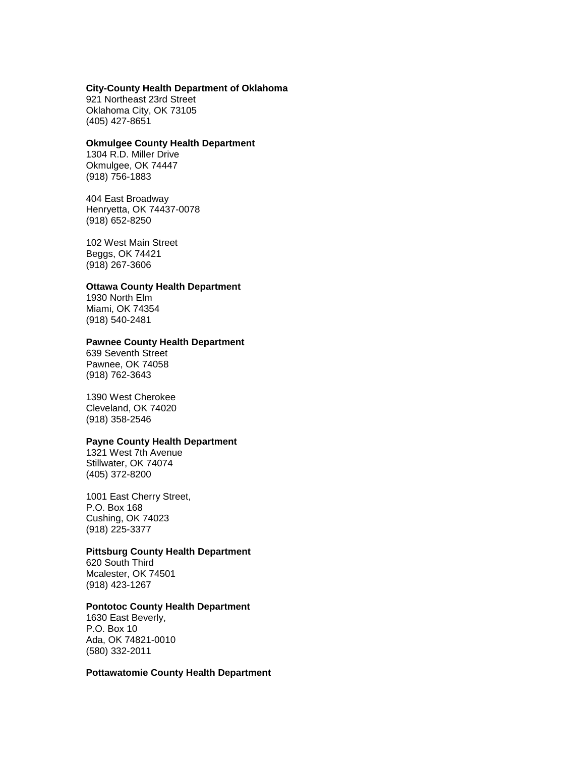### **City-County Health Department of Oklahoma**

921 Northeast 23rd Street Oklahoma City, OK 73105 (405) 427-8651

#### **Okmulgee County Health Department**

1304 R.D. Miller Drive Okmulgee, OK 74447 (918) 756-1883

404 East Broadway Henryetta, OK 74437-0078 (918) 652-8250

102 West Main Street Beggs, OK 74421 (918) 267-3606

#### **Ottawa County Health Department**

1930 North Elm Miami, OK 74354 (918) 540-2481

#### **Pawnee County Health Department**

639 Seventh Street Pawnee, OK 74058 (918) 762-3643

1390 West Cherokee Cleveland, OK 74020 (918) 358-2546

# **Payne County Health Department**

1321 West 7th Avenue Stillwater, OK 74074 (405) 372-8200

1001 East Cherry Street, P.O. Box 168 Cushing, OK 74023 (918) 225-3377

# **Pittsburg County Health Department**

620 South Third Mcalester, OK 74501 (918) 423-1267

### **Pontotoc County Health Department**

1630 East Beverly, P.O. Box 10 Ada, OK 74821-0010 (580) 332-2011

# **Pottawatomie County Health Department**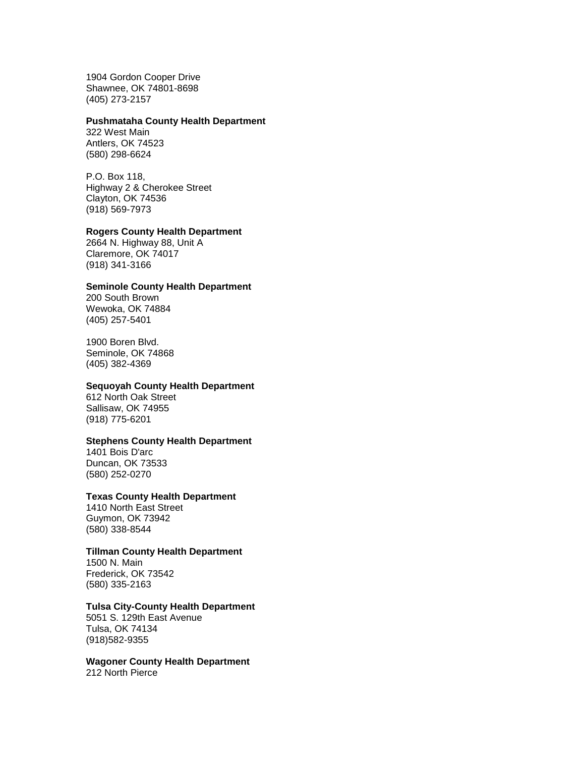1904 Gordon Cooper Drive Shawnee, OK 74801-8698 (405) 273-2157

#### **Pushmataha County Health Department**

322 West Main Antlers, OK 74523 (580) 298-6624

P.O. Box 118, Highway 2 & Cherokee Street Clayton, OK 74536 (918) 569-7973

#### **Rogers County Health Department**

2664 N. Highway 88, Unit A Claremore, OK 74017 (918) 341-3166

#### **Seminole County Health Department**

200 South Brown Wewoka, OK 74884 (405) 257-5401

1900 Boren Blvd. Seminole, OK 74868 (405) 382-4369

### **Sequoyah County Health Department**

612 North Oak Street Sallisaw, OK 74955 (918) 775-6201

# **Stephens County Health Department**

1401 Bois D'arc Duncan, OK 73533 (580) 252-0270

### **Texas County Health Department**

1410 North East Street Guymon, OK 73942 (580) 338-8544

# **Tillman County Health Department**

1500 N. Main Frederick, OK 73542 (580) 335-2163

# **Tulsa City-County Health Department**

5051 S. 129th East Avenue Tulsa, OK 74134 (918)582-9355

**Wagoner County Health Department** 212 North Pierce